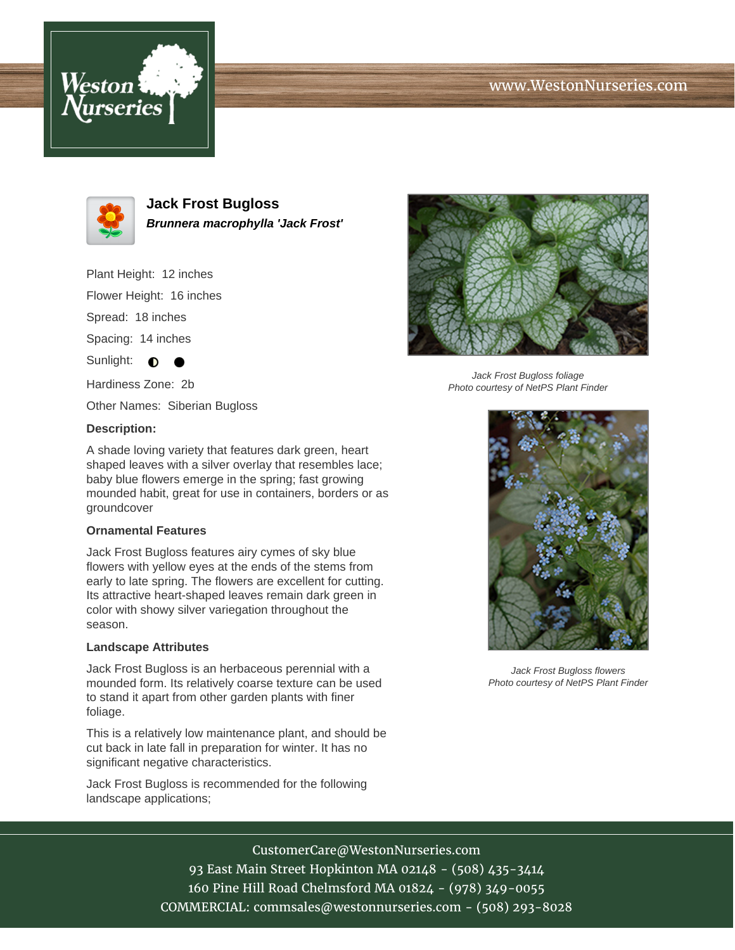# www.WestonNurseries.com





**Jack Frost Bugloss Brunnera macrophylla 'Jack Frost'**

Plant Height: 12 inches

Flower Height: 16 inches

Spread: 18 inches

Spacing: 14 inches

Sunlight:  $\bigcirc$ 

Hardiness Zone: 2b

Other Names: Siberian Bugloss

### **Description:**

A shade loving variety that features dark green, heart shaped leaves with a silver overlay that resembles lace; baby blue flowers emerge in the spring; fast growing mounded habit, great for use in containers, borders or as groundcover

### **Ornamental Features**

Jack Frost Bugloss features airy cymes of sky blue flowers with yellow eyes at the ends of the stems from early to late spring. The flowers are excellent for cutting. Its attractive heart-shaped leaves remain dark green in color with showy silver variegation throughout the season.

#### **Landscape Attributes**

Jack Frost Bugloss is an herbaceous perennial with a mounded form. Its relatively coarse texture can be used to stand it apart from other garden plants with finer foliage.

This is a relatively low maintenance plant, and should be cut back in late fall in preparation for winter. It has no significant negative characteristics.

Jack Frost Bugloss is recommended for the following landscape applications;



Jack Frost Bugloss foliage Photo courtesy of NetPS Plant Finder



Jack Frost Bugloss flowers Photo courtesy of NetPS Plant Finder

CustomerCare@WestonNurseries.com

93 East Main Street Hopkinton MA 02148 - (508) 435-3414 160 Pine Hill Road Chelmsford MA 01824 - (978) 349-0055 COMMERCIAL: commsales@westonnurseries.com - (508) 293-8028